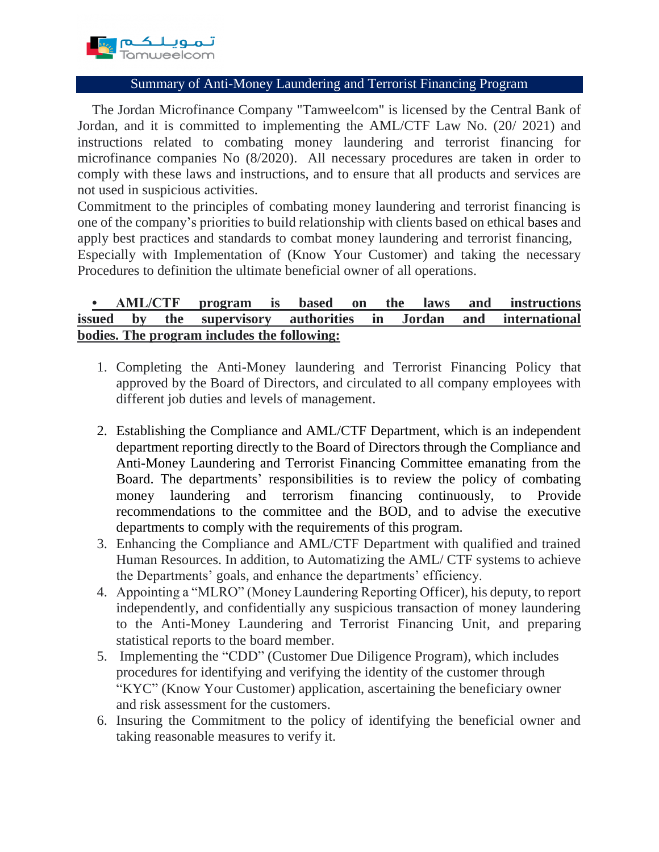

## Summary of Anti-Money Laundering and Terrorist Financing Program

The Jordan Microfinance Company "Tamweelcom" is licensed by the Central Bank of Jordan, and it is committed to implementing the AML/CTF Law No. (20/ 2021) and instructions related to combating money laundering and terrorist financing for microfinance companies No (8/2020). All necessary procedures are taken in order to comply with these laws and instructions, and to ensure that all products and services are not used in suspicious activities.

Commitment to the principles of combating money laundering and terrorist financing is one of the company's priorities to build relationship with clients based on ethical bases and apply best practices and standards to combat money laundering and terrorist financing,

Especially with Implementation of (Know Your Customer) and taking the necessary Procedures to definition the ultimate beneficial owner of all operations.

## **• AML/CTF program is based on the laws and instructions issued by the supervisory authorities in Jordan and international bodies. The program includes the following:**

- 1. Completing the Anti-Money laundering and Terrorist Financing Policy that approved by the Board of Directors, and circulated to all company employees with different job duties and levels of management.
- 2. Establishing the Compliance and AML/CTF Department, which is an independent department reporting directly to the Board of Directors through the Compliance and Anti-Money Laundering and Terrorist Financing Committee emanating from the Board. The departments' responsibilities is to review the policy of combating money laundering and terrorism financing continuously, to Provide recommendations to the committee and the BOD, and to advise the executive departments to comply with the requirements of this program.
- 3. Enhancing the Compliance and AML/CTF Department with qualified and trained Human Resources. In addition, to Automatizing the AML/ CTF systems to achieve the Departments' goals, and enhance the departments' efficiency.
- 4. Appointing a "MLRO" (Money Laundering Reporting Officer), his deputy, to report independently, and confidentially any suspicious transaction of money laundering to the Anti-Money Laundering and Terrorist Financing Unit, and preparing statistical reports to the board member.
- 5. Implementing the "CDD" (Customer Due Diligence Program), which includes procedures for identifying and verifying the identity of the customer through "KYC" (Know Your Customer) application, ascertaining the beneficiary owner and risk assessment for the customers.
- 6. Insuring the Commitment to the policy of identifying the beneficial owner and taking reasonable measures to verify it.